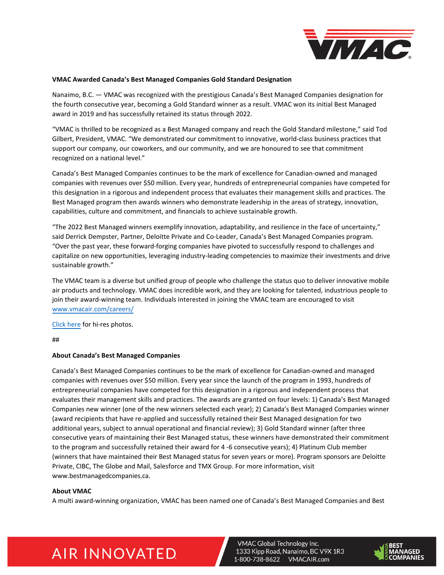

#### **VMAC Awarded Canada's Best Managed Companies Gold Standard Designation**

Nanaimo, B.C. — VMAC was recognized with the prestigious Canada's Best Managed Companies designation for the fourth consecutive year, becoming a Gold Standard winner as a result. VMAC won its initial Best Managed award in 2019 and has successfully retained its status through 2022.

"VMAC is thrilled to be recognized as a Best Managed company and reach the Gold Standard milestone," said Tod Gilbert, President, VMAC. "We demonstrated our commitment to innovative, world-class business practices that support our company, our coworkers, and our community, and we are honoured to see that commitment recognized on a national level."

Canada's Best Managed Companies continues to be the mark of excellence for Canadian-owned and managed companies with revenues over \$50 million. Every year, hundreds of entrepreneurial companies have competed for this designation in a rigorous and independent process that evaluates their management skills and practices. The Best Managed program then awards winners who demonstrate leadership in the areas of strategy, innovation, capabilities, culture and commitment, and financials to achieve sustainable growth.

"The 2022 Best Managed winners exemplify innovation, adaptability, and resilience in the face of uncertainty," said Derrick Dempster, Partner, Deloitte Private and Co-Leader, Canada's Best Managed Companies program. "Over the past year, these forward-forging companies have pivoted to successfully respond to challenges and capitalize on new opportunities, leveraging industry-leading competencies to maximize their investments and drive sustainable growth."

The VMAC team is a diverse but unified group of people who challenge the status quo to deliver innovative mobile air products and technology. VMAC does incredible work, and they are looking for talented, industrious people to join their award-winning team. Individuals interested in joining the VMAC team are encouraged to visit www.vmacair.com/careers/

Click here [for hi-res photos.](https://www.vmacair.com/careers/) 

[##](https://vgti.sharepoint.com/:f:/g/Marketing/EmKW9HZj9BROkbzSV-1VlRQBDLbmxOlzlhgupbxyPfU1Uw?e=jZ9sf7)

## **About Canada's Best Managed Companies**

Canada's Best Managed Companies continues to be the mark of excellence for Canadian-owned and managed companies with revenues over \$50 million. Every year since the launch of the program in 1993, hundreds of entrepreneurial companies have competed for this designation in a rigorous and independent process that evaluates their management skills and practices. The awards are granted on four levels: 1) Canada's Best Managed Companies new winner (one of the new winners selected each year); 2) Canada's Best Managed Companies winner (award recipients that have re-applied and successfully retained their Best Managed designation for two additional years, subject to annual operational and financial review); 3) Gold Standard winner (after three consecutive years of maintaining their Best Managed status, these winners have demonstrated their commitment to the program and successfully retained their award for 4 -6 consecutive years); 4) Platinum Club member (winners that have maintained their Best Managed status for seven years or more). Program sponsors are Deloitte Private, CIBC, The Globe and Mail, Salesforce and TMX Group. For more information, visit www.bestmanagedcompanies.ca.

## **About VMAC**

A multi award-winning organization, VMAC has been named one of Canada's Best Managed Companies and Best

# **AIR INNOVATED**

**VMAC Global Technology Inc.** 1333 Kipp Road, Nanaimo, BC V9X 1R3 1-800-738-8622 VMACAIR.com